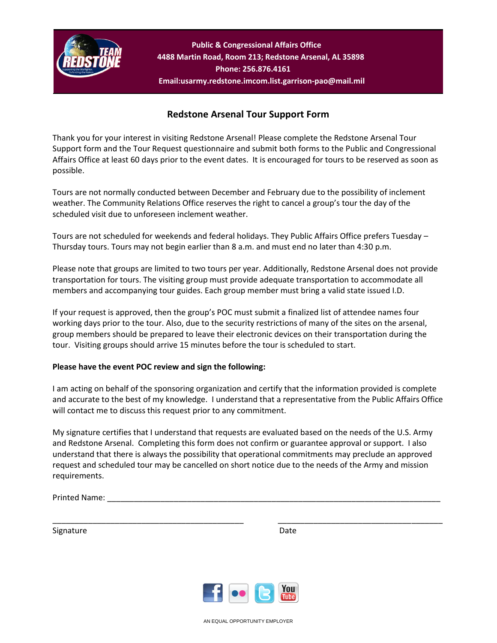

**Public & Congressional Affairs Office 4488 Martin Road, Room 213; Redstone Arsenal, AL 35898 Phone: 256.876.4161 Email:usarmy.redstone.imcom.list.garrison-pao@mail.mil**

## **Redstone Arsenal Tour Support Form**

Thank you for your interest in visiting Redstone Arsenal! Please complete the Redstone Arsenal Tour Support form and the Tour Request questionnaire and submit both forms to the Public and Congressional Affairs Office at least 60 days prior to the event dates. It is encouraged for tours to be reserved as soon as possible.

Tours are not normally conducted between December and February due to the possibility of inclement weather. The Community Relations Office reserves the right to cancel a group's tour the day of the scheduled visit due to unforeseen inclement weather.

Tours are not scheduled for weekends and federal holidays. They Public Affairs Office prefers Tuesday – Thursday tours. Tours may not begin earlier than 8 a.m. and must end no later than 4:30 p.m.

Please note that groups are limited to two tours per year. Additionally, Redstone Arsenal does not provide transportation for tours. The visiting group must provide adequate transportation to accommodate all members and accompanying tour guides. Each group member must bring a valid state issued I.D.

If your request is approved, then the group's POC must submit a finalized list of attendee names four working days prior to the tour. Also, due to the security restrictions of many of the sites on the arsenal, group members should be prepared to leave their electronic devices on their transportation during the tour. Visiting groups should arrive 15 minutes before the tour is scheduled to start.

## **Please have the event POC review and sign the following:**

I am acting on behalf of the sponsoring organization and certify that the information provided is complete and accurate to the best of my knowledge. I understand that a representative from the Public Affairs Office will contact me to discuss this request prior to any commitment.

My signature certifies that I understand that requests are evaluated based on the needs of the U.S. Army and Redstone Arsenal. Completing this form does not confirm or guarantee approval or support. I also understand that there is always the possibility that operational commitments may preclude an approved request and scheduled tour may be cancelled on short notice due to the needs of the Army and mission requirements.

Printed Name:

Signature Date Date Date



\_\_\_\_\_\_\_\_\_\_\_\_\_\_\_\_\_\_\_\_\_\_\_\_\_\_\_\_\_\_\_\_\_\_\_\_\_\_\_\_\_\_\_ \_\_\_\_\_\_\_\_\_\_\_\_\_\_\_\_\_\_\_\_\_\_\_\_\_\_\_\_\_\_\_\_\_\_\_\_\_